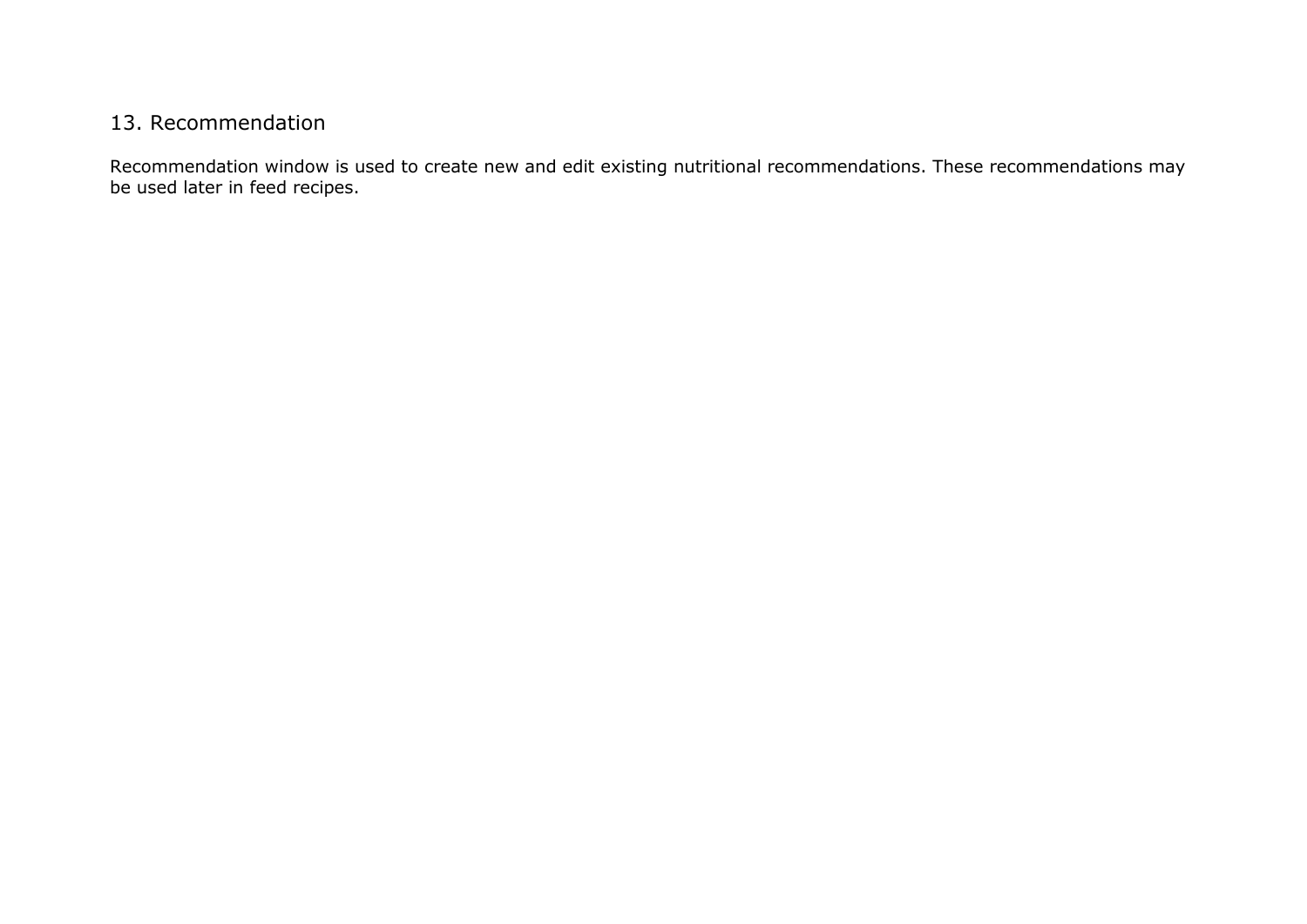## 13. Recommendation

Recommendation window is used to create new and edit existing nutritional recommendations. These recommendations may be used later in feed recipes.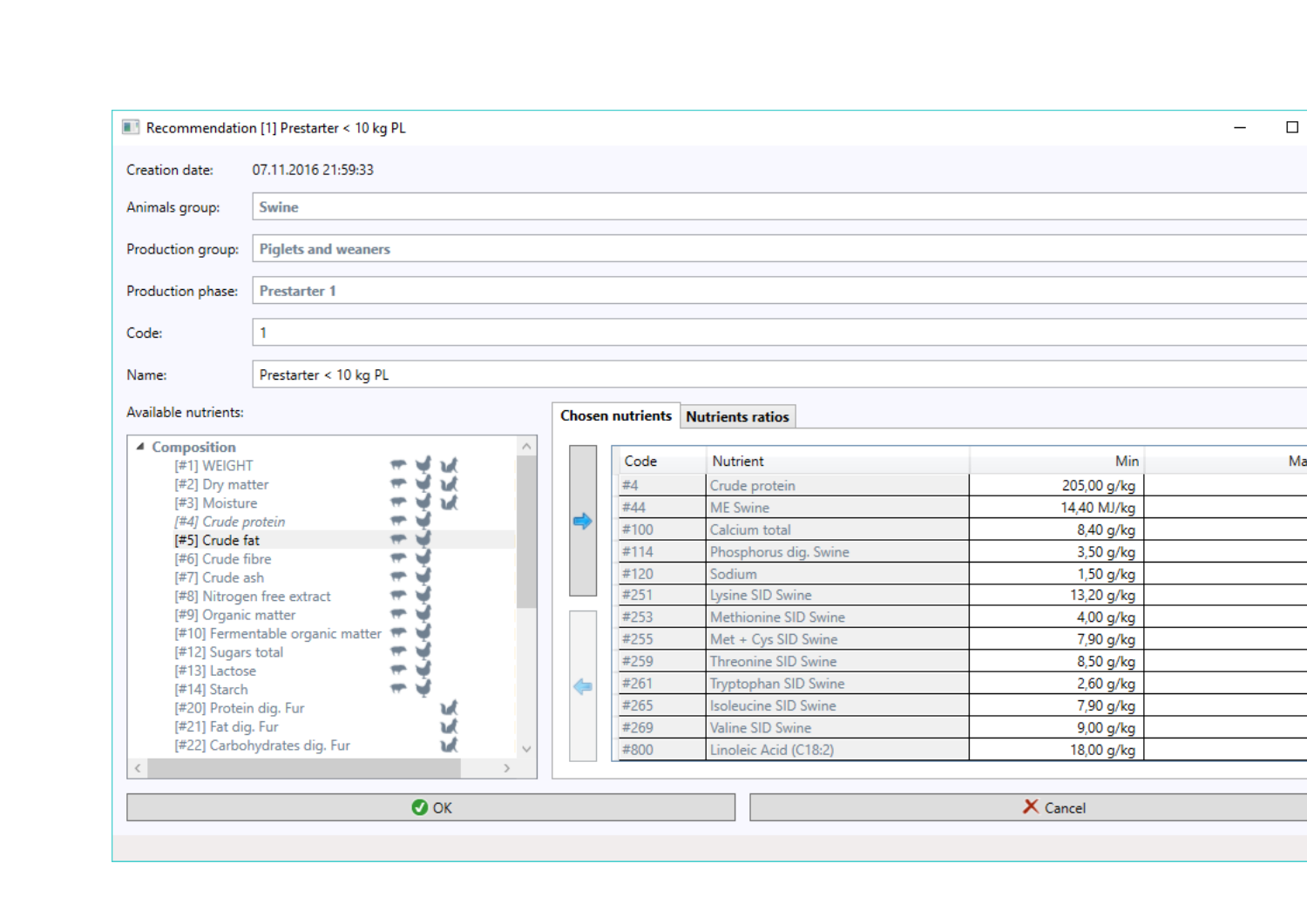| Recommendation [1] Prestarter < 10 kg PL                                                                                                                                                   |                              |                          |        |      |                             |                                          |             |    | $\Box$ |
|--------------------------------------------------------------------------------------------------------------------------------------------------------------------------------------------|------------------------------|--------------------------|--------|------|-----------------------------|------------------------------------------|-------------|----|--------|
| Creation date:                                                                                                                                                                             | 07.11.2016 21:59:33          |                          |        |      |                             |                                          |             |    |        |
| Animals group:                                                                                                                                                                             | Swine                        |                          |        |      |                             |                                          |             |    |        |
| Production group:                                                                                                                                                                          | <b>Piglets and weaners</b>   |                          |        |      |                             |                                          |             |    |        |
| Production phase:                                                                                                                                                                          | <b>Prestarter 1</b>          |                          |        |      |                             |                                          |             |    |        |
| Code:                                                                                                                                                                                      | 1                            |                          |        |      |                             |                                          |             |    |        |
| Name:                                                                                                                                                                                      | Prestarter < 10 kg PL        |                          |        |      |                             |                                          |             |    |        |
| Available nutrients:                                                                                                                                                                       |                              |                          |        |      |                             | <b>Chosen nutrients</b> Nutrients ratios |             |    |        |
| ▲ Composition<br>۸<br>[#1] WEIGHT<br>[#2] Dry matter<br>ъđ<br>[#3] Moisture<br>[#4] Crude protein<br>[#5] Crude fat<br>$\blacksquare$<br>J<br>₩<br>[#6] Crude fibre<br>₹<br>[#7] Crude ash |                              |                          |        | Code | Nutrient                    | Min                                      |             | Ma |        |
|                                                                                                                                                                                            |                              |                          |        |      | #4                          | Crude protein                            | 205,00 g/kg |    |        |
|                                                                                                                                                                                            |                              |                          |        |      | #44                         | ME Swine                                 | 14,40 MJ/kg |    |        |
|                                                                                                                                                                                            |                              |                          |        | #100 | Calcium total               | 8,40 g/kg                                |             |    |        |
|                                                                                                                                                                                            |                              |                          |        |      | #114                        | Phosphorus dig. Swine                    | 3,50 g/kg   |    |        |
|                                                                                                                                                                                            |                              |                          |        |      | #120                        | Sodium                                   | 1,50 g/kg   |    |        |
| [#8] Nitrogen free extract                                                                                                                                                                 |                              | ⇔                        |        |      | #251                        | Lysine SID Swine                         | 13,20 g/kg  |    |        |
| [#9] Organic matter                                                                                                                                                                        |                              | $\overline{\phantom{a}}$ |        |      | #253                        | Methionine SID Swine                     | 4,00 g/kg   |    |        |
| [#10] Fermentable organic matter                                                                                                                                                           |                              |                          |        |      | #255                        | Met + Cys SID Swine                      | 7,90 g/kg   |    |        |
| [#12] Sugars total<br>[#13] Lactose                                                                                                                                                        |                              | ₹                        |        |      | #259                        | Threonine SID Swine                      | 8,50 g/kg   |    |        |
| [#14] Starch                                                                                                                                                                               |                              | ÷                        |        | ⇚    | #261                        | Tryptophan SID Swine                     | 2,60 g/kg   |    |        |
| [#20] Protein dig. Fur                                                                                                                                                                     |                              |                          |        | #265 | <b>Isoleucine SID Swine</b> | 7,90 g/kg                                |             |    |        |
| [#21] Fat dig. Fur<br>W                                                                                                                                                                    |                              |                          |        | #269 | Valine SID Swine            | 9,00 g/kg                                |             |    |        |
|                                                                                                                                                                                            | [#22] Carbohydrates dig. Fur |                          | $\vee$ |      | #800                        | Linoleic Acid (C18:2)                    | 18,00 g/kg  |    |        |
| $\leq$                                                                                                                                                                                     |                              |                          |        |      |                             |                                          |             |    |        |

 $\bullet$  ok

X Cancel